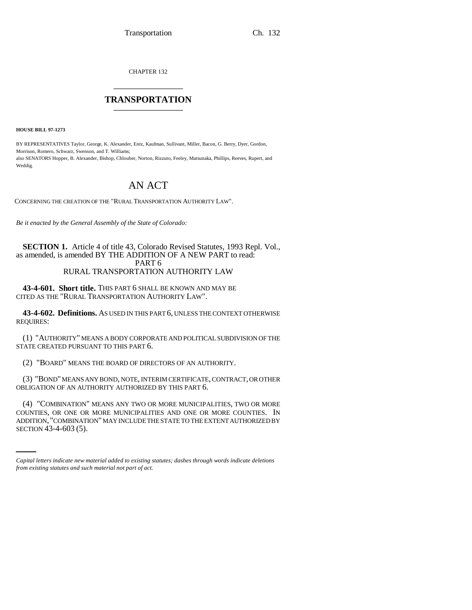CHAPTER 132 \_\_\_\_\_\_\_\_\_\_\_\_\_\_\_

# **TRANSPORTATION** \_\_\_\_\_\_\_\_\_\_\_\_\_\_\_

**HOUSE BILL 97-1273**

BY REPRESENTATIVES Taylor, George, K. Alexander, Entz, Kaufman, Sullivant, Miller, Bacon, G. Berry, Dyer, Gordon, Morrison, Romero, Schwarz, Swenson, and T. Williams; also SENATORS Hopper, B. Alexander, Bishop, Chlouber, Norton, Rizzuto, Feeley, Matsunaka, Phillips, Reeves, Rupert, and Weddig.

# AN ACT

CONCERNING THE CREATION OF THE "RURAL TRANSPORTATION AUTHORITY LAW".

*Be it enacted by the General Assembly of the State of Colorado:*

# **SECTION 1.** Article 4 of title 43, Colorado Revised Statutes, 1993 Repl. Vol., as amended, is amended BY THE ADDITION OF A NEW PART to read: PART 6 RURAL TRANSPORTATION AUTHORITY LAW

**43-4-601. Short title.** THIS PART 6 SHALL BE KNOWN AND MAY BE CITED AS THE "RURAL TRANSPORTATION AUTHORITY LAW".

**43-4-602. Definitions.** AS USED IN THIS PART 6, UNLESS THE CONTEXT OTHERWISE REQUIRES:

(1) "AUTHORITY" MEANS A BODY CORPORATE AND POLITICAL SUBDIVISION OF THE STATE CREATED PURSUANT TO THIS PART 6.

(2) "BOARD" MEANS THE BOARD OF DIRECTORS OF AN AUTHORITY.

(3) "BOND" MEANS ANY BOND, NOTE, INTERIM CERTIFICATE, CONTRACT, OR OTHER OBLIGATION OF AN AUTHORITY AUTHORIZED BY THIS PART 6.

COUNTIES, OR ONE OR MORE MUNICIPALITIES AND ONE OR MORE COUNTIES. IN (4) "COMBINATION" MEANS ANY TWO OR MORE MUNICIPALITIES, TWO OR MORE ADDITION, "COMBINATION" MAY INCLUDE THE STATE TO THE EXTENT AUTHORIZED BY SECTION 43-4-603 (5).

*Capital letters indicate new material added to existing statutes; dashes through words indicate deletions from existing statutes and such material not part of act.*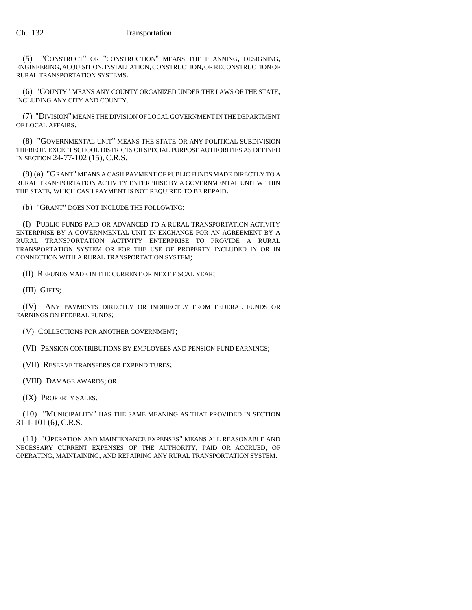(5) "CONSTRUCT" OR "CONSTRUCTION" MEANS THE PLANNING, DESIGNING, ENGINEERING, ACQUISITION, INSTALLATION, CONSTRUCTION, OR RECONSTRUCTION OF RURAL TRANSPORTATION SYSTEMS.

(6) "COUNTY" MEANS ANY COUNTY ORGANIZED UNDER THE LAWS OF THE STATE, INCLUDING ANY CITY AND COUNTY.

(7) "DIVISION" MEANS THE DIVISION OF LOCAL GOVERNMENT IN THE DEPARTMENT OF LOCAL AFFAIRS.

(8) "GOVERNMENTAL UNIT" MEANS THE STATE OR ANY POLITICAL SUBDIVISION THEREOF, EXCEPT SCHOOL DISTRICTS OR SPECIAL PURPOSE AUTHORITIES AS DEFINED IN SECTION 24-77-102 (15), C.R.S.

(9) (a) "GRANT" MEANS A CASH PAYMENT OF PUBLIC FUNDS MADE DIRECTLY TO A RURAL TRANSPORTATION ACTIVITY ENTERPRISE BY A GOVERNMENTAL UNIT WITHIN THE STATE, WHICH CASH PAYMENT IS NOT REQUIRED TO BE REPAID.

(b) "GRANT" DOES NOT INCLUDE THE FOLLOWING:

(I) PUBLIC FUNDS PAID OR ADVANCED TO A RURAL TRANSPORTATION ACTIVITY ENTERPRISE BY A GOVERNMENTAL UNIT IN EXCHANGE FOR AN AGREEMENT BY A RURAL TRANSPORTATION ACTIVITY ENTERPRISE TO PROVIDE A RURAL TRANSPORTATION SYSTEM OR FOR THE USE OF PROPERTY INCLUDED IN OR IN CONNECTION WITH A RURAL TRANSPORTATION SYSTEM;

(II) REFUNDS MADE IN THE CURRENT OR NEXT FISCAL YEAR;

(III) GIFTS;

(IV) ANY PAYMENTS DIRECTLY OR INDIRECTLY FROM FEDERAL FUNDS OR EARNINGS ON FEDERAL FUNDS;

(V) COLLECTIONS FOR ANOTHER GOVERNMENT;

(VI) PENSION CONTRIBUTIONS BY EMPLOYEES AND PENSION FUND EARNINGS;

(VII) RESERVE TRANSFERS OR EXPENDITURES;

(VIII) DAMAGE AWARDS; OR

(IX) PROPERTY SALES.

(10) "MUNICIPALITY" HAS THE SAME MEANING AS THAT PROVIDED IN SECTION 31-1-101 (6), C.R.S.

(11) "OPERATION AND MAINTENANCE EXPENSES" MEANS ALL REASONABLE AND NECESSARY CURRENT EXPENSES OF THE AUTHORITY, PAID OR ACCRUED, OF OPERATING, MAINTAINING, AND REPAIRING ANY RURAL TRANSPORTATION SYSTEM.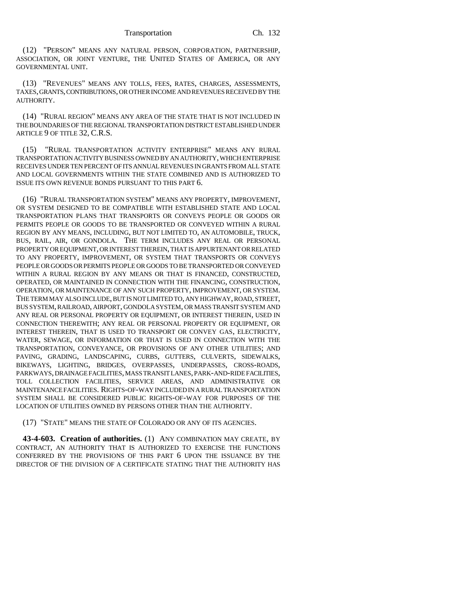(12) "PERSON" MEANS ANY NATURAL PERSON, CORPORATION, PARTNERSHIP, ASSOCIATION, OR JOINT VENTURE, THE UNITED STATES OF AMERICA, OR ANY GOVERNMENTAL UNIT.

(13) "REVENUES" MEANS ANY TOLLS, FEES, RATES, CHARGES, ASSESSMENTS, TAXES, GRANTS, CONTRIBUTIONS, OR OTHER INCOME AND REVENUES RECEIVED BY THE AUTHORITY.

(14) "RURAL REGION" MEANS ANY AREA OF THE STATE THAT IS NOT INCLUDED IN THE BOUNDARIES OF THE REGIONAL TRANSPORTATION DISTRICT ESTABLISHED UNDER ARTICLE 9 OF TITLE 32, C.R.S.

(15) "RURAL TRANSPORTATION ACTIVITY ENTERPRISE" MEANS ANY RURAL TRANSPORTATION ACTIVITY BUSINESS OWNED BY AN AUTHORITY, WHICH ENTERPRISE RECEIVES UNDER TEN PERCENT OF ITS ANNUAL REVENUES IN GRANTS FROM ALL STATE AND LOCAL GOVERNMENTS WITHIN THE STATE COMBINED AND IS AUTHORIZED TO ISSUE ITS OWN REVENUE BONDS PURSUANT TO THIS PART 6.

(16) "RURAL TRANSPORTATION SYSTEM" MEANS ANY PROPERTY, IMPROVEMENT, OR SYSTEM DESIGNED TO BE COMPATIBLE WITH ESTABLISHED STATE AND LOCAL TRANSPORTATION PLANS THAT TRANSPORTS OR CONVEYS PEOPLE OR GOODS OR PERMITS PEOPLE OR GOODS TO BE TRANSPORTED OR CONVEYED WITHIN A RURAL REGION BY ANY MEANS, INCLUDING, BUT NOT LIMITED TO, AN AUTOMOBILE, TRUCK, BUS, RAIL, AIR, OR GONDOLA. THE TERM INCLUDES ANY REAL OR PERSONAL PROPERTY OR EQUIPMENT, OR INTEREST THEREIN, THAT IS APPURTENANT OR RELATED TO ANY PROPERTY, IMPROVEMENT, OR SYSTEM THAT TRANSPORTS OR CONVEYS PEOPLE OR GOODS OR PERMITS PEOPLE OR GOODS TO BE TRANSPORTED OR CONVEYED WITHIN A RURAL REGION BY ANY MEANS OR THAT IS FINANCED, CONSTRUCTED, OPERATED, OR MAINTAINED IN CONNECTION WITH THE FINANCING, CONSTRUCTION, OPERATION, OR MAINTENANCE OF ANY SUCH PROPERTY, IMPROVEMENT, OR SYSTEM. THE TERM MAY ALSO INCLUDE, BUT IS NOT LIMITED TO, ANY HIGHWAY, ROAD, STREET, BUS SYSTEM, RAILROAD, AIRPORT, GONDOLA SYSTEM, OR MASS TRANSIT SYSTEM AND ANY REAL OR PERSONAL PROPERTY OR EQUIPMENT, OR INTEREST THEREIN, USED IN CONNECTION THEREWITH; ANY REAL OR PERSONAL PROPERTY OR EQUIPMENT, OR INTEREST THEREIN, THAT IS USED TO TRANSPORT OR CONVEY GAS, ELECTRICITY, WATER, SEWAGE, OR INFORMATION OR THAT IS USED IN CONNECTION WITH THE TRANSPORTATION, CONVEYANCE, OR PROVISIONS OF ANY OTHER UTILITIES; AND PAVING, GRADING, LANDSCAPING, CURBS, GUTTERS, CULVERTS, SIDEWALKS, BIKEWAYS, LIGHTING, BRIDGES, OVERPASSES, UNDERPASSES, CROSS-ROADS, PARKWAYS, DRAINAGE FACILITIES, MASS TRANSIT LANES, PARK-AND-RIDE FACILITIES, TOLL COLLECTION FACILITIES, SERVICE AREAS, AND ADMINISTRATIVE OR MAINTENANCE FACILITIES. RIGHTS-OF-WAY INCLUDED IN A RURAL TRANSPORTATION SYSTEM SHALL BE CONSIDERED PUBLIC RIGHTS-OF-WAY FOR PURPOSES OF THE LOCATION OF UTILITIES OWNED BY PERSONS OTHER THAN THE AUTHORITY.

(17) "STATE" MEANS THE STATE OF COLORADO OR ANY OF ITS AGENCIES.

**43-4-603. Creation of authorities.** (1) ANY COMBINATION MAY CREATE, BY CONTRACT, AN AUTHORITY THAT IS AUTHORIZED TO EXERCISE THE FUNCTIONS CONFERRED BY THE PROVISIONS OF THIS PART 6 UPON THE ISSUANCE BY THE DIRECTOR OF THE DIVISION OF A CERTIFICATE STATING THAT THE AUTHORITY HAS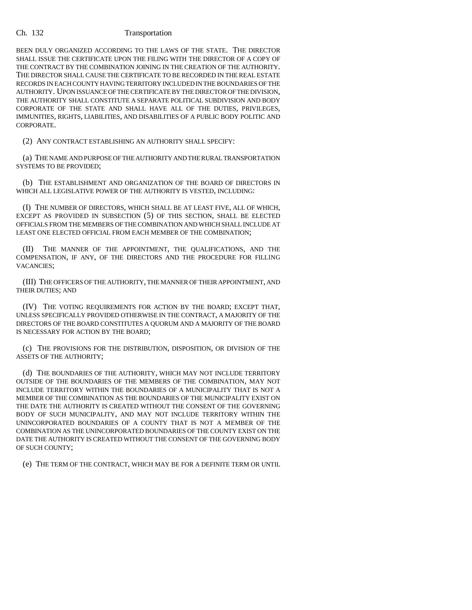BEEN DULY ORGANIZED ACCORDING TO THE LAWS OF THE STATE. THE DIRECTOR SHALL ISSUE THE CERTIFICATE UPON THE FILING WITH THE DIRECTOR OF A COPY OF THE CONTRACT BY THE COMBINATION JOINING IN THE CREATION OF THE AUTHORITY. THE DIRECTOR SHALL CAUSE THE CERTIFICATE TO BE RECORDED IN THE REAL ESTATE RECORDS IN EACH COUNTY HAVING TERRITORY INCLUDED IN THE BOUNDARIES OF THE AUTHORITY. UPON ISSUANCE OF THE CERTIFICATE BY THE DIRECTOR OF THE DIVISION, THE AUTHORITY SHALL CONSTITUTE A SEPARATE POLITICAL SUBDIVISION AND BODY CORPORATE OF THE STATE AND SHALL HAVE ALL OF THE DUTIES, PRIVILEGES, IMMUNITIES, RIGHTS, LIABILITIES, AND DISABILITIES OF A PUBLIC BODY POLITIC AND CORPORATE.

(2) ANY CONTRACT ESTABLISHING AN AUTHORITY SHALL SPECIFY:

(a) THE NAME AND PURPOSE OF THE AUTHORITY AND THE RURAL TRANSPORTATION SYSTEMS TO BE PROVIDED;

(b) THE ESTABLISHMENT AND ORGANIZATION OF THE BOARD OF DIRECTORS IN WHICH ALL LEGISLATIVE POWER OF THE AUTHORITY IS VESTED, INCLUDING:

(I) THE NUMBER OF DIRECTORS, WHICH SHALL BE AT LEAST FIVE, ALL OF WHICH, EXCEPT AS PROVIDED IN SUBSECTION (5) OF THIS SECTION, SHALL BE ELECTED OFFICIALS FROM THE MEMBERS OF THE COMBINATION AND WHICH SHALL INCLUDE AT LEAST ONE ELECTED OFFICIAL FROM EACH MEMBER OF THE COMBINATION;

(II) THE MANNER OF THE APPOINTMENT, THE QUALIFICATIONS, AND THE COMPENSATION, IF ANY, OF THE DIRECTORS AND THE PROCEDURE FOR FILLING VACANCIES;

(III) THE OFFICERS OF THE AUTHORITY, THE MANNER OF THEIR APPOINTMENT, AND THEIR DUTIES; AND

(IV) THE VOTING REQUIREMENTS FOR ACTION BY THE BOARD; EXCEPT THAT, UNLESS SPECIFICALLY PROVIDED OTHERWISE IN THE CONTRACT, A MAJORITY OF THE DIRECTORS OF THE BOARD CONSTITUTES A QUORUM AND A MAJORITY OF THE BOARD IS NECESSARY FOR ACTION BY THE BOARD;

(c) THE PROVISIONS FOR THE DISTRIBUTION, DISPOSITION, OR DIVISION OF THE ASSETS OF THE AUTHORITY;

(d) THE BOUNDARIES OF THE AUTHORITY, WHICH MAY NOT INCLUDE TERRITORY OUTSIDE OF THE BOUNDARIES OF THE MEMBERS OF THE COMBINATION, MAY NOT INCLUDE TERRITORY WITHIN THE BOUNDARIES OF A MUNICIPALITY THAT IS NOT A MEMBER OF THE COMBINATION AS THE BOUNDARIES OF THE MUNICIPALITY EXIST ON THE DATE THE AUTHORITY IS CREATED WITHOUT THE CONSENT OF THE GOVERNING BODY OF SUCH MUNICIPALITY, AND MAY NOT INCLUDE TERRITORY WITHIN THE UNINCORPORATED BOUNDARIES OF A COUNTY THAT IS NOT A MEMBER OF THE COMBINATION AS THE UNINCORPORATED BOUNDARIES OF THE COUNTY EXIST ON THE DATE THE AUTHORITY IS CREATED WITHOUT THE CONSENT OF THE GOVERNING BODY OF SUCH COUNTY;

(e) THE TERM OF THE CONTRACT, WHICH MAY BE FOR A DEFINITE TERM OR UNTIL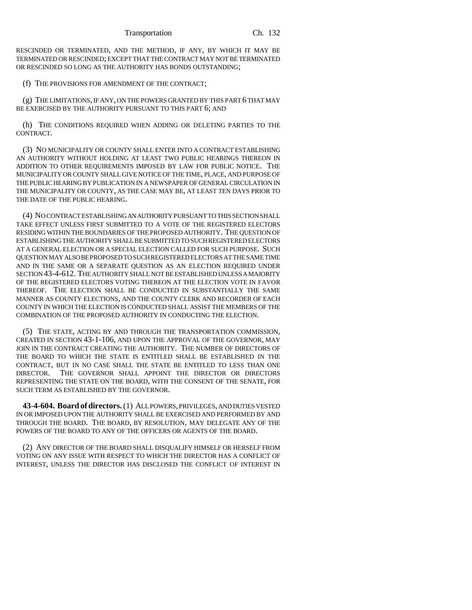RESCINDED OR TERMINATED, AND THE METHOD, IF ANY, BY WHICH IT MAY BE TERMINATED OR RESCINDED; EXCEPT THAT THE CONTRACT MAY NOT BE TERMINATED OR RESCINDED SO LONG AS THE AUTHORITY HAS BONDS OUTSTANDING;

(f) THE PROVISIONS FOR AMENDMENT OF THE CONTRACT;

(g) THE LIMITATIONS, IF ANY, ON THE POWERS GRANTED BY THIS PART 6 THAT MAY BE EXERCISED BY THE AUTHORITY PURSUANT TO THIS PART 6; AND

(h) THE CONDITIONS REQUIRED WHEN ADDING OR DELETING PARTIES TO THE CONTRACT.

(3) NO MUNICIPALITY OR COUNTY SHALL ENTER INTO A CONTRACT ESTABLISHING AN AUTHORITY WITHOUT HOLDING AT LEAST TWO PUBLIC HEARINGS THEREON IN ADDITION TO OTHER REQUIREMENTS IMPOSED BY LAW FOR PUBLIC NOTICE. THE MUNICIPALITY OR COUNTY SHALL GIVE NOTICE OF THE TIME, PLACE, AND PURPOSE OF THE PUBLIC HEARING BY PUBLICATION IN A NEWSPAPER OF GENERAL CIRCULATION IN THE MUNICIPALITY OR COUNTY, AS THE CASE MAY BE, AT LEAST TEN DAYS PRIOR TO THE DATE OF THE PUBLIC HEARING.

(4) NO CONTRACT ESTABLISHING AN AUTHORITY PURSUANT TO THIS SECTION SHALL TAKE EFFECT UNLESS FIRST SUBMITTED TO A VOTE OF THE REGISTERED ELECTORS RESIDING WITHIN THE BOUNDARIES OF THE PROPOSED AUTHORITY. THE QUESTION OF ESTABLISHING THE AUTHORITY SHALL BE SUBMITTED TO SUCH REGISTERED ELECTORS AT A GENERAL ELECTION OR A SPECIAL ELECTION CALLED FOR SUCH PURPOSE. SUCH QUESTION MAY ALSO BE PROPOSED TO SUCH REGISTERED ELECTORS AT THE SAME TIME AND IN THE SAME OR A SEPARATE QUESTION AS AN ELECTION REQUIRED UNDER SECTION 43-4-612. THE AUTHORITY SHALL NOT BE ESTABLISHED UNLESS A MAJORITY OF THE REGISTERED ELECTORS VOTING THEREON AT THE ELECTION VOTE IN FAVOR THEREOF. THE ELECTION SHALL BE CONDUCTED IN SUBSTANTIALLY THE SAME MANNER AS COUNTY ELECTIONS, AND THE COUNTY CLERK AND RECORDER OF EACH COUNTY IN WHICH THE ELECTION IS CONDUCTED SHALL ASSIST THE MEMBERS OF THE COMBINATION OF THE PROPOSED AUTHORITY IN CONDUCTING THE ELECTION.

(5) THE STATE, ACTING BY AND THROUGH THE TRANSPORTATION COMMISSION, CREATED IN SECTION 43-1-106, AND UPON THE APPROVAL OF THE GOVERNOR, MAY JOIN IN THE CONTRACT CREATING THE AUTHORITY. THE NUMBER OF DIRECTORS OF THE BOARD TO WHICH THE STATE IS ENTITLED SHALL BE ESTABLISHED IN THE CONTRACT, BUT IN NO CASE SHALL THE STATE BE ENTITLED TO LESS THAN ONE DIRECTOR. THE GOVERNOR SHALL APPOINT THE DIRECTOR OR DIRECTORS REPRESENTING THE STATE ON THE BOARD, WITH THE CONSENT OF THE SENATE, FOR SUCH TERM AS ESTABLISHED BY THE GOVERNOR.

**43-4-604. Board of directors.** (1) ALL POWERS, PRIVILEGES, AND DUTIES VESTED IN OR IMPOSED UPON THE AUTHORITY SHALL BE EXERCISED AND PERFORMED BY AND THROUGH THE BOARD. THE BOARD, BY RESOLUTION, MAY DELEGATE ANY OF THE POWERS OF THE BOARD TO ANY OF THE OFFICERS OR AGENTS OF THE BOARD.

(2) ANY DIRECTOR OF THE BOARD SHALL DISQUALIFY HIMSELF OR HERSELF FROM VOTING ON ANY ISSUE WITH RESPECT TO WHICH THE DIRECTOR HAS A CONFLICT OF INTEREST, UNLESS THE DIRECTOR HAS DISCLOSED THE CONFLICT OF INTEREST IN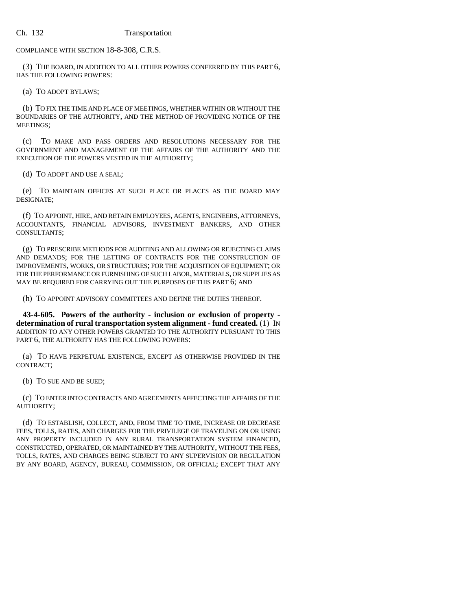COMPLIANCE WITH SECTION 18-8-308, C.R.S.

(3) THE BOARD, IN ADDITION TO ALL OTHER POWERS CONFERRED BY THIS PART 6, HAS THE FOLLOWING POWERS:

(a) TO ADOPT BYLAWS;

(b) TO FIX THE TIME AND PLACE OF MEETINGS, WHETHER WITHIN OR WITHOUT THE BOUNDARIES OF THE AUTHORITY, AND THE METHOD OF PROVIDING NOTICE OF THE MEETINGS;

(c) TO MAKE AND PASS ORDERS AND RESOLUTIONS NECESSARY FOR THE GOVERNMENT AND MANAGEMENT OF THE AFFAIRS OF THE AUTHORITY AND THE EXECUTION OF THE POWERS VESTED IN THE AUTHORITY;

(d) TO ADOPT AND USE A SEAL;

(e) TO MAINTAIN OFFICES AT SUCH PLACE OR PLACES AS THE BOARD MAY DESIGNATE;

(f) TO APPOINT, HIRE, AND RETAIN EMPLOYEES, AGENTS, ENGINEERS, ATTORNEYS, ACCOUNTANTS, FINANCIAL ADVISORS, INVESTMENT BANKERS, AND OTHER CONSULTANTS;

(g) TO PRESCRIBE METHODS FOR AUDITING AND ALLOWING OR REJECTING CLAIMS AND DEMANDS; FOR THE LETTING OF CONTRACTS FOR THE CONSTRUCTION OF IMPROVEMENTS, WORKS, OR STRUCTURES; FOR THE ACQUISITION OF EQUIPMENT; OR FOR THE PERFORMANCE OR FURNISHING OF SUCH LABOR, MATERIALS, OR SUPPLIES AS MAY BE REQUIRED FOR CARRYING OUT THE PURPOSES OF THIS PART 6; AND

(h) TO APPOINT ADVISORY COMMITTEES AND DEFINE THE DUTIES THEREOF.

**43-4-605. Powers of the authority - inclusion or exclusion of property determination of rural transportation system alignment - fund created.** (1) IN ADDITION TO ANY OTHER POWERS GRANTED TO THE AUTHORITY PURSUANT TO THIS PART 6, THE AUTHORITY HAS THE FOLLOWING POWERS:

(a) TO HAVE PERPETUAL EXISTENCE, EXCEPT AS OTHERWISE PROVIDED IN THE CONTRACT;

(b) TO SUE AND BE SUED;

(c) TO ENTER INTO CONTRACTS AND AGREEMENTS AFFECTING THE AFFAIRS OF THE AUTHORITY;

(d) TO ESTABLISH, COLLECT, AND, FROM TIME TO TIME, INCREASE OR DECREASE FEES, TOLLS, RATES, AND CHARGES FOR THE PRIVILEGE OF TRAVELING ON OR USING ANY PROPERTY INCLUDED IN ANY RURAL TRANSPORTATION SYSTEM FINANCED, CONSTRUCTED, OPERATED, OR MAINTAINED BY THE AUTHORITY, WITHOUT THE FEES, TOLLS, RATES, AND CHARGES BEING SUBJECT TO ANY SUPERVISION OR REGULATION BY ANY BOARD, AGENCY, BUREAU, COMMISSION, OR OFFICIAL; EXCEPT THAT ANY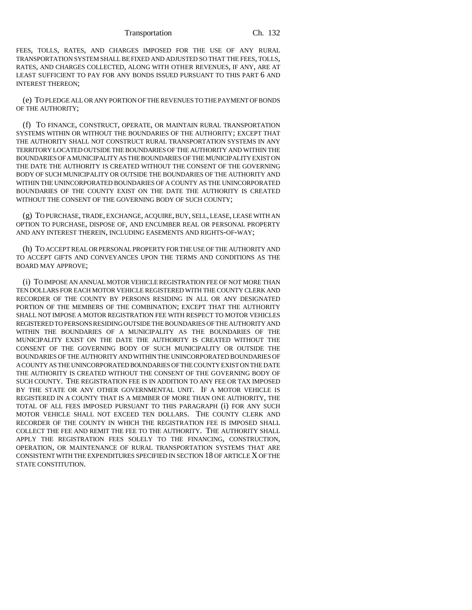FEES, TOLLS, RATES, AND CHARGES IMPOSED FOR THE USE OF ANY RURAL TRANSPORTATION SYSTEM SHALL BE FIXED AND ADJUSTED SO THAT THE FEES, TOLLS, RATES, AND CHARGES COLLECTED, ALONG WITH OTHER REVENUES, IF ANY, ARE AT LEAST SUFFICIENT TO PAY FOR ANY BONDS ISSUED PURSUANT TO THIS PART 6 AND INTEREST THEREON;

(e) TO PLEDGE ALL OR ANY PORTION OF THE REVENUES TO THE PAYMENT OF BONDS OF THE AUTHORITY;

(f) TO FINANCE, CONSTRUCT, OPERATE, OR MAINTAIN RURAL TRANSPORTATION SYSTEMS WITHIN OR WITHOUT THE BOUNDARIES OF THE AUTHORITY; EXCEPT THAT THE AUTHORITY SHALL NOT CONSTRUCT RURAL TRANSPORTATION SYSTEMS IN ANY TERRITORY LOCATED OUTSIDE THE BOUNDARIES OF THE AUTHORITY AND WITHIN THE BOUNDARIES OF A MUNICIPALITY AS THE BOUNDARIES OF THE MUNICIPALITY EXIST ON THE DATE THE AUTHORITY IS CREATED WITHOUT THE CONSENT OF THE GOVERNING BODY OF SUCH MUNICIPALITY OR OUTSIDE THE BOUNDARIES OF THE AUTHORITY AND WITHIN THE UNINCORPORATED BOUNDARIES OF A COUNTY AS THE UNINCORPORATED BOUNDARIES OF THE COUNTY EXIST ON THE DATE THE AUTHORITY IS CREATED WITHOUT THE CONSENT OF THE GOVERNING BODY OF SUCH COUNTY;

(g) TO PURCHASE, TRADE, EXCHANGE, ACQUIRE, BUY, SELL, LEASE, LEASE WITH AN OPTION TO PURCHASE, DISPOSE OF, AND ENCUMBER REAL OR PERSONAL PROPERTY AND ANY INTEREST THEREIN, INCLUDING EASEMENTS AND RIGHTS-OF-WAY;

(h) TO ACCEPT REAL OR PERSONAL PROPERTY FOR THE USE OF THE AUTHORITY AND TO ACCEPT GIFTS AND CONVEYANCES UPON THE TERMS AND CONDITIONS AS THE BOARD MAY APPROVE;

(i) TO IMPOSE AN ANNUAL MOTOR VEHICLE REGISTRATION FEE OF NOT MORE THAN TEN DOLLARS FOR EACH MOTOR VEHICLE REGISTERED WITH THE COUNTY CLERK AND RECORDER OF THE COUNTY BY PERSONS RESIDING IN ALL OR ANY DESIGNATED PORTION OF THE MEMBERS OF THE COMBINATION; EXCEPT THAT THE AUTHORITY SHALL NOT IMPOSE A MOTOR REGISTRATION FEE WITH RESPECT TO MOTOR VEHICLES REGISTERED TO PERSONS RESIDING OUTSIDE THE BOUNDARIES OF THE AUTHORITY AND WITHIN THE BOUNDARIES OF A MUNICIPALITY AS THE BOUNDARIES OF THE MUNICIPALITY EXIST ON THE DATE THE AUTHORITY IS CREATED WITHOUT THE CONSENT OF THE GOVERNING BODY OF SUCH MUNICIPALITY OR OUTSIDE THE BOUNDARIES OF THE AUTHORITY AND WITHIN THE UNINCORPORATED BOUNDARIES OF A COUNTY AS THE UNINCORPORATED BOUNDARIES OF THE COUNTY EXIST ON THE DATE THE AUTHORITY IS CREATED WITHOUT THE CONSENT OF THE GOVERNING BODY OF SUCH COUNTY. THE REGISTRATION FEE IS IN ADDITION TO ANY FEE OR TAX IMPOSED BY THE STATE OR ANY OTHER GOVERNMENTAL UNIT. IF A MOTOR VEHICLE IS REGISTERED IN A COUNTY THAT IS A MEMBER OF MORE THAN ONE AUTHORITY, THE TOTAL OF ALL FEES IMPOSED PURSUANT TO THIS PARAGRAPH (i) FOR ANY SUCH MOTOR VEHICLE SHALL NOT EXCEED TEN DOLLARS. THE COUNTY CLERK AND RECORDER OF THE COUNTY IN WHICH THE REGISTRATION FEE IS IMPOSED SHALL COLLECT THE FEE AND REMIT THE FEE TO THE AUTHORITY. THE AUTHORITY SHALL APPLY THE REGISTRATION FEES SOLELY TO THE FINANCING, CONSTRUCTION, OPERATION, OR MAINTENANCE OF RURAL TRANSPORTATION SYSTEMS THAT ARE CONSISTENT WITH THE EXPENDITURES SPECIFIED IN SECTION 18 OF ARTICLE X OF THE STATE CONSTITUTION.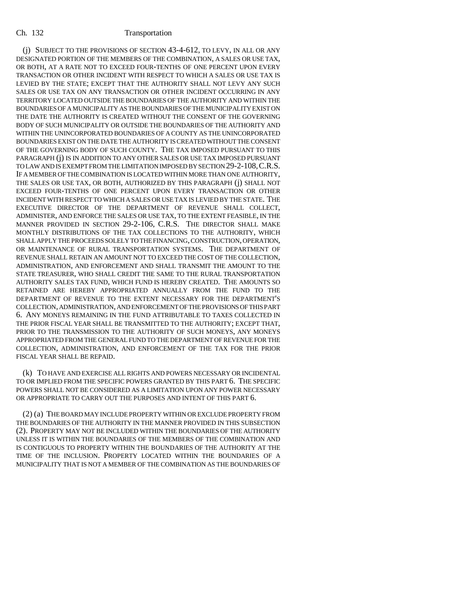(j) SUBJECT TO THE PROVISIONS OF SECTION 43-4-612, TO LEVY, IN ALL OR ANY DESIGNATED PORTION OF THE MEMBERS OF THE COMBINATION, A SALES OR USE TAX, OR BOTH, AT A RATE NOT TO EXCEED FOUR-TENTHS OF ONE PERCENT UPON EVERY TRANSACTION OR OTHER INCIDENT WITH RESPECT TO WHICH A SALES OR USE TAX IS LEVIED BY THE STATE; EXCEPT THAT THE AUTHORITY SHALL NOT LEVY ANY SUCH SALES OR USE TAX ON ANY TRANSACTION OR OTHER INCIDENT OCCURRING IN ANY TERRITORY LOCATED OUTSIDE THE BOUNDARIES OF THE AUTHORITY AND WITHIN THE BOUNDARIES OF A MUNICIPALITY AS THE BOUNDARIES OF THE MUNICIPALITY EXIST ON THE DATE THE AUTHORITY IS CREATED WITHOUT THE CONSENT OF THE GOVERNING BODY OF SUCH MUNICIPALITY OR OUTSIDE THE BOUNDARIES OF THE AUTHORITY AND WITHIN THE UNINCORPORATED BOUNDARIES OF A COUNTY AS THE UNINCORPORATED BOUNDARIES EXIST ON THE DATE THE AUTHORITY IS CREATED WITHOUT THE CONSENT OF THE GOVERNING BODY OF SUCH COUNTY. THE TAX IMPOSED PURSUANT TO THIS PARAGRAPH (j) IS IN ADDITION TO ANY OTHER SALES OR USE TAX IMPOSED PURSUANT TO LAW AND IS EXEMPT FROM THE LIMITATION IMPOSED BY SECTION 29-2-108,C.R.S. IF A MEMBER OF THE COMBINATION IS LOCATED WITHIN MORE THAN ONE AUTHORITY, THE SALES OR USE TAX, OR BOTH, AUTHORIZED BY THIS PARAGRAPH (j) SHALL NOT EXCEED FOUR-TENTHS OF ONE PERCENT UPON EVERY TRANSACTION OR OTHER INCIDENT WITH RESPECT TO WHICH A SALES OR USE TAX IS LEVIED BY THE STATE. THE EXECUTIVE DIRECTOR OF THE DEPARTMENT OF REVENUE SHALL COLLECT, ADMINISTER, AND ENFORCE THE SALES OR USE TAX, TO THE EXTENT FEASIBLE, IN THE MANNER PROVIDED IN SECTION 29-2-106, C.R.S. THE DIRECTOR SHALL MAKE MONTHLY DISTRIBUTIONS OF THE TAX COLLECTIONS TO THE AUTHORITY, WHICH SHALL APPLY THE PROCEEDS SOLELY TO THE FINANCING, CONSTRUCTION, OPERATION, OR MAINTENANCE OF RURAL TRANSPORTATION SYSTEMS. THE DEPARTMENT OF REVENUE SHALL RETAIN AN AMOUNT NOT TO EXCEED THE COST OF THE COLLECTION, ADMINISTRATION, AND ENFORCEMENT AND SHALL TRANSMIT THE AMOUNT TO THE STATE TREASURER, WHO SHALL CREDIT THE SAME TO THE RURAL TRANSPORTATION AUTHORITY SALES TAX FUND, WHICH FUND IS HEREBY CREATED. THE AMOUNTS SO RETAINED ARE HEREBY APPROPRIATED ANNUALLY FROM THE FUND TO THE DEPARTMENT OF REVENUE TO THE EXTENT NECESSARY FOR THE DEPARTMENT'S COLLECTION, ADMINISTRATION, AND ENFORCEMENT OF THE PROVISIONS OF THIS PART 6. ANY MONEYS REMAINING IN THE FUND ATTRIBUTABLE TO TAXES COLLECTED IN THE PRIOR FISCAL YEAR SHALL BE TRANSMITTED TO THE AUTHORITY; EXCEPT THAT, PRIOR TO THE TRANSMISSION TO THE AUTHORITY OF SUCH MONEYS, ANY MONEYS APPROPRIATED FROM THE GENERAL FUND TO THE DEPARTMENT OF REVENUE FOR THE COLLECTION, ADMINISTRATION, AND ENFORCEMENT OF THE TAX FOR THE PRIOR FISCAL YEAR SHALL BE REPAID.

(k) TO HAVE AND EXERCISE ALL RIGHTS AND POWERS NECESSARY OR INCIDENTAL TO OR IMPLIED FROM THE SPECIFIC POWERS GRANTED BY THIS PART 6. THE SPECIFIC POWERS SHALL NOT BE CONSIDERED AS A LIMITATION UPON ANY POWER NECESSARY OR APPROPRIATE TO CARRY OUT THE PURPOSES AND INTENT OF THIS PART 6.

(2) (a) THE BOARD MAY INCLUDE PROPERTY WITHIN OR EXCLUDE PROPERTY FROM THE BOUNDARIES OF THE AUTHORITY IN THE MANNER PROVIDED IN THIS SUBSECTION (2). PROPERTY MAY NOT BE INCLUDED WITHIN THE BOUNDARIES OF THE AUTHORITY UNLESS IT IS WITHIN THE BOUNDARIES OF THE MEMBERS OF THE COMBINATION AND IS CONTIGUOUS TO PROPERTY WITHIN THE BOUNDARIES OF THE AUTHORITY AT THE TIME OF THE INCLUSION. PROPERTY LOCATED WITHIN THE BOUNDARIES OF A MUNICIPALITY THAT IS NOT A MEMBER OF THE COMBINATION AS THE BOUNDARIES OF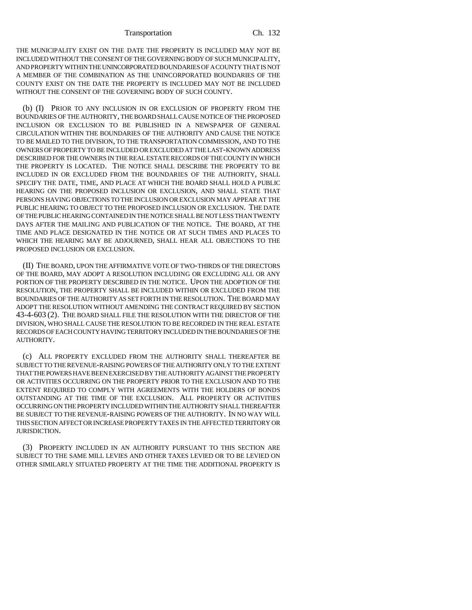THE MUNICIPALITY EXIST ON THE DATE THE PROPERTY IS INCLUDED MAY NOT BE INCLUDED WITHOUT THE CONSENT OF THE GOVERNING BODY OF SUCH MUNICIPALITY, AND PROPERTY WITHIN THE UNINCORPORATED BOUNDARIES OF A COUNTY THAT IS NOT A MEMBER OF THE COMBINATION AS THE UNINCORPORATED BOUNDARIES OF THE COUNTY EXIST ON THE DATE THE PROPERTY IS INCLUDED MAY NOT BE INCLUDED WITHOUT THE CONSENT OF THE GOVERNING BODY OF SUCH COUNTY.

(b) (I) PRIOR TO ANY INCLUSION IN OR EXCLUSION OF PROPERTY FROM THE BOUNDARIES OF THE AUTHORITY, THE BOARD SHALL CAUSE NOTICE OF THE PROPOSED INCLUSION OR EXCLUSION TO BE PUBLISHED IN A NEWSPAPER OF GENERAL CIRCULATION WITHIN THE BOUNDARIES OF THE AUTHORITY AND CAUSE THE NOTICE TO BE MAILED TO THE DIVISION, TO THE TRANSPORTATION COMMISSION, AND TO THE OWNERS OF PROPERTY TO BE INCLUDED OR EXCLUDED AT THE LAST-KNOWN ADDRESS DESCRIBED FOR THE OWNERS IN THE REAL ESTATE RECORDS OF THE COUNTY IN WHICH THE PROPERTY IS LOCATED. THE NOTICE SHALL DESCRIBE THE PROPERTY TO BE INCLUDED IN OR EXCLUDED FROM THE BOUNDARIES OF THE AUTHORITY, SHALL SPECIFY THE DATE, TIME, AND PLACE AT WHICH THE BOARD SHALL HOLD A PUBLIC HEARING ON THE PROPOSED INCLUSION OR EXCLUSION, AND SHALL STATE THAT PERSONS HAVING OBJECTIONS TO THE INCLUSION OR EXCLUSION MAY APPEAR AT THE PUBLIC HEARING TO OBJECT TO THE PROPOSED INCLUSION OR EXCLUSION. THE DATE OF THE PUBLIC HEARING CONTAINED IN THE NOTICE SHALL BE NOT LESS THAN TWENTY DAYS AFTER THE MAILING AND PUBLICATION OF THE NOTICE. THE BOARD, AT THE TIME AND PLACE DESIGNATED IN THE NOTICE OR AT SUCH TIMES AND PLACES TO WHICH THE HEARING MAY BE ADJOURNED, SHALL HEAR ALL OBJECTIONS TO THE PROPOSED INCLUSION OR EXCLUSION.

(II) THE BOARD, UPON THE AFFIRMATIVE VOTE OF TWO-THIRDS OF THE DIRECTORS OF THE BOARD, MAY ADOPT A RESOLUTION INCLUDING OR EXCLUDING ALL OR ANY PORTION OF THE PROPERTY DESCRIBED IN THE NOTICE. UPON THE ADOPTION OF THE RESOLUTION, THE PROPERTY SHALL BE INCLUDED WITHIN OR EXCLUDED FROM THE BOUNDARIES OF THE AUTHORITY AS SET FORTH IN THE RESOLUTION. THE BOARD MAY ADOPT THE RESOLUTION WITHOUT AMENDING THE CONTRACT REQUIRED BY SECTION 43-4-603 (2). THE BOARD SHALL FILE THE RESOLUTION WITH THE DIRECTOR OF THE DIVISION, WHO SHALL CAUSE THE RESOLUTION TO BE RECORDED IN THE REAL ESTATE RECORDS OF EACH COUNTY HAVING TERRITORY INCLUDED IN THE BOUNDARIES OF THE AUTHORITY.

(c) ALL PROPERTY EXCLUDED FROM THE AUTHORITY SHALL THEREAFTER BE SUBJECT TO THE REVENUE-RAISING POWERS OF THE AUTHORITY ONLY TO THE EXTENT THAT THE POWERS HAVE BEEN EXERCISED BY THE AUTHORITY AGAINST THE PROPERTY OR ACTIVITIES OCCURRING ON THE PROPERTY PRIOR TO THE EXCLUSION AND TO THE EXTENT REQUIRED TO COMPLY WITH AGREEMENTS WITH THE HOLDERS OF BONDS OUTSTANDING AT THE TIME OF THE EXCLUSION. ALL PROPERTY OR ACTIVITIES OCCURRING ON THE PROPERTY INCLUDED WITHIN THE AUTHORITY SHALL THEREAFTER BE SUBJECT TO THE REVENUE-RAISING POWERS OF THE AUTHORITY. IN NO WAY WILL THIS SECTION AFFECT OR INCREASE PROPERTY TAXES IN THE AFFECTED TERRITORY OR JURISDICTION.

(3) PROPERTY INCLUDED IN AN AUTHORITY PURSUANT TO THIS SECTION ARE SUBJECT TO THE SAME MILL LEVIES AND OTHER TAXES LEVIED OR TO BE LEVIED ON OTHER SIMILARLY SITUATED PROPERTY AT THE TIME THE ADDITIONAL PROPERTY IS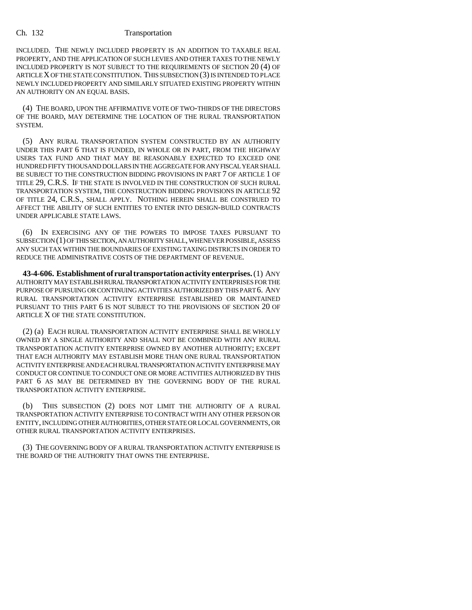INCLUDED. THE NEWLY INCLUDED PROPERTY IS AN ADDITION TO TAXABLE REAL PROPERTY, AND THE APPLICATION OF SUCH LEVIES AND OTHER TAXES TO THE NEWLY INCLUDED PROPERTY IS NOT SUBJECT TO THE REQUIREMENTS OF SECTION 20 (4) OF ARTICLE X OF THE STATE CONSTITUTION. THIS SUBSECTION (3) IS INTENDED TO PLACE NEWLY INCLUDED PROPERTY AND SIMILARLY SITUATED EXISTING PROPERTY WITHIN AN AUTHORITY ON AN EQUAL BASIS.

(4) THE BOARD, UPON THE AFFIRMATIVE VOTE OF TWO-THIRDS OF THE DIRECTORS OF THE BOARD, MAY DETERMINE THE LOCATION OF THE RURAL TRANSPORTATION SYSTEM.

(5) ANY RURAL TRANSPORTATION SYSTEM CONSTRUCTED BY AN AUTHORITY UNDER THIS PART 6 THAT IS FUNDED, IN WHOLE OR IN PART, FROM THE HIGHWAY USERS TAX FUND AND THAT MAY BE REASONABLY EXPECTED TO EXCEED ONE HUNDRED FIFTY THOUSAND DOLLARS IN THE AGGREGATE FOR ANY FISCAL YEAR SHALL BE SUBJECT TO THE CONSTRUCTION BIDDING PROVISIONS IN PART 7 OF ARTICLE 1 OF TITLE 29, C.R.S. IF THE STATE IS INVOLVED IN THE CONSTRUCTION OF SUCH RURAL TRANSPORTATION SYSTEM, THE CONSTRUCTION BIDDING PROVISIONS IN ARTICLE 92 OF TITLE 24, C.R.S., SHALL APPLY. NOTHING HEREIN SHALL BE CONSTRUED TO AFFECT THE ABILITY OF SUCH ENTITIES TO ENTER INTO DESIGN-BUILD CONTRACTS UNDER APPLICABLE STATE LAWS.

(6) IN EXERCISING ANY OF THE POWERS TO IMPOSE TAXES PURSUANT TO SUBSECTION (1) OF THIS SECTION, AN AUTHORITY SHALL, WHENEVER POSSIBLE, ASSESS ANY SUCH TAX WITHIN THE BOUNDARIES OF EXISTING TAXING DISTRICTS IN ORDER TO REDUCE THE ADMINISTRATIVE COSTS OF THE DEPARTMENT OF REVENUE.

**43-4-606. Establishment of rural transportation activity enterprises.** (1) ANY AUTHORITY MAY ESTABLISH RURAL TRANSPORTATION ACTIVITY ENTERPRISES FOR THE PURPOSE OF PURSUING OR CONTINUING ACTIVITIES AUTHORIZED BY THIS PART 6. ANY RURAL TRANSPORTATION ACTIVITY ENTERPRISE ESTABLISHED OR MAINTAINED PURSUANT TO THIS PART 6 IS NOT SUBJECT TO THE PROVISIONS OF SECTION 20 OF ARTICLE X OF THE STATE CONSTITUTION.

(2) (a) EACH RURAL TRANSPORTATION ACTIVITY ENTERPRISE SHALL BE WHOLLY OWNED BY A SINGLE AUTHORITY AND SHALL NOT BE COMBINED WITH ANY RURAL TRANSPORTATION ACTIVITY ENTERPRISE OWNED BY ANOTHER AUTHORITY; EXCEPT THAT EACH AUTHORITY MAY ESTABLISH MORE THAN ONE RURAL TRANSPORTATION ACTIVITY ENTERPRISE AND EACH RURAL TRANSPORTATION ACTIVITY ENTERPRISE MAY CONDUCT OR CONTINUE TO CONDUCT ONE OR MORE ACTIVITIES AUTHORIZED BY THIS PART 6 AS MAY BE DETERMINED BY THE GOVERNING BODY OF THE RURAL TRANSPORTATION ACTIVITY ENTERPRISE.

(b) THIS SUBSECTION (2) DOES NOT LIMIT THE AUTHORITY OF A RURAL TRANSPORTATION ACTIVITY ENTERPRISE TO CONTRACT WITH ANY OTHER PERSON OR ENTITY, INCLUDING OTHER AUTHORITIES, OTHER STATE OR LOCAL GOVERNMENTS, OR OTHER RURAL TRANSPORTATION ACTIVITY ENTERPRISES.

(3) THE GOVERNING BODY OF A RURAL TRANSPORTATION ACTIVITY ENTERPRISE IS THE BOARD OF THE AUTHORITY THAT OWNS THE ENTERPRISE.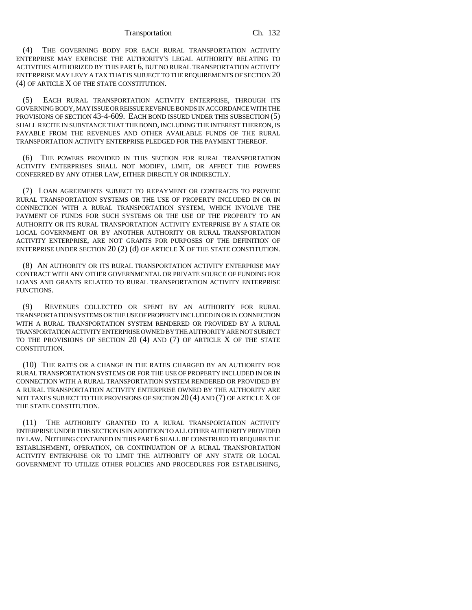(4) THE GOVERNING BODY FOR EACH RURAL TRANSPORTATION ACTIVITY ENTERPRISE MAY EXERCISE THE AUTHORITY'S LEGAL AUTHORITY RELATING TO ACTIVITIES AUTHORIZED BY THIS PART 6, BUT NO RURAL TRANSPORTATION ACTIVITY ENTERPRISE MAY LEVY A TAX THAT IS SUBJECT TO THE REQUIREMENTS OF SECTION 20 (4) OF ARTICLE X OF THE STATE CONSTITUTION.

(5) EACH RURAL TRANSPORTATION ACTIVITY ENTERPRISE, THROUGH ITS GOVERNING BODY, MAY ISSUE OR REISSUE REVENUE BONDS IN ACCORDANCE WITH THE PROVISIONS OF SECTION 43-4-609. EACH BOND ISSUED UNDER THIS SUBSECTION (5) SHALL RECITE IN SUBSTANCE THAT THE BOND, INCLUDING THE INTEREST THEREON, IS PAYABLE FROM THE REVENUES AND OTHER AVAILABLE FUNDS OF THE RURAL TRANSPORTATION ACTIVITY ENTERPRISE PLEDGED FOR THE PAYMENT THEREOF.

(6) THE POWERS PROVIDED IN THIS SECTION FOR RURAL TRANSPORTATION ACTIVITY ENTERPRISES SHALL NOT MODIFY, LIMIT, OR AFFECT THE POWERS CONFERRED BY ANY OTHER LAW, EITHER DIRECTLY OR INDIRECTLY.

(7) LOAN AGREEMENTS SUBJECT TO REPAYMENT OR CONTRACTS TO PROVIDE RURAL TRANSPORTATION SYSTEMS OR THE USE OF PROPERTY INCLUDED IN OR IN CONNECTION WITH A RURAL TRANSPORTATION SYSTEM, WHICH INVOLVE THE PAYMENT OF FUNDS FOR SUCH SYSTEMS OR THE USE OF THE PROPERTY TO AN AUTHORITY OR ITS RURAL TRANSPORTATION ACTIVITY ENTERPRISE BY A STATE OR LOCAL GOVERNMENT OR BY ANOTHER AUTHORITY OR RURAL TRANSPORTATION ACTIVITY ENTERPRISE, ARE NOT GRANTS FOR PURPOSES OF THE DEFINITION OF ENTERPRISE UNDER SECTION  $20(2)$  (d) OF ARTICLE X OF THE STATE CONSTITUTION.

(8) AN AUTHORITY OR ITS RURAL TRANSPORTATION ACTIVITY ENTERPRISE MAY CONTRACT WITH ANY OTHER GOVERNMENTAL OR PRIVATE SOURCE OF FUNDING FOR LOANS AND GRANTS RELATED TO RURAL TRANSPORTATION ACTIVITY ENTERPRISE FUNCTIONS.

(9) REVENUES COLLECTED OR SPENT BY AN AUTHORITY FOR RURAL TRANSPORTATION SYSTEMS OR THE USE OF PROPERTY INCLUDED IN OR IN CONNECTION WITH A RURAL TRANSPORTATION SYSTEM RENDERED OR PROVIDED BY A RURAL TRANSPORTATION ACTIVITY ENTERPRISE OWNED BY THE AUTHORITY ARE NOT SUBJECT TO THE PROVISIONS OF SECTION 20 (4) AND (7) OF ARTICLE X OF THE STATE CONSTITUTION.

(10) THE RATES OR A CHANGE IN THE RATES CHARGED BY AN AUTHORITY FOR RURAL TRANSPORTATION SYSTEMS OR FOR THE USE OF PROPERTY INCLUDED IN OR IN CONNECTION WITH A RURAL TRANSPORTATION SYSTEM RENDERED OR PROVIDED BY A RURAL TRANSPORTATION ACTIVITY ENTERPRISE OWNED BY THE AUTHORITY ARE NOT TAXES SUBJECT TO THE PROVISIONS OF SECTION 20 (4) AND (7) OF ARTICLE X OF THE STATE CONSTITUTION.

(11) THE AUTHORITY GRANTED TO A RURAL TRANSPORTATION ACTIVITY ENTERPRISE UNDER THIS SECTION IS IN ADDITION TO ALL OTHER AUTHORITY PROVIDED BY LAW. NOTHING CONTAINED IN THIS PART 6 SHALL BE CONSTRUED TO REQUIRE THE ESTABLISHMENT, OPERATION, OR CONTINUATION OF A RURAL TRANSPORTATION ACTIVITY ENTERPRISE OR TO LIMIT THE AUTHORITY OF ANY STATE OR LOCAL GOVERNMENT TO UTILIZE OTHER POLICIES AND PROCEDURES FOR ESTABLISHING,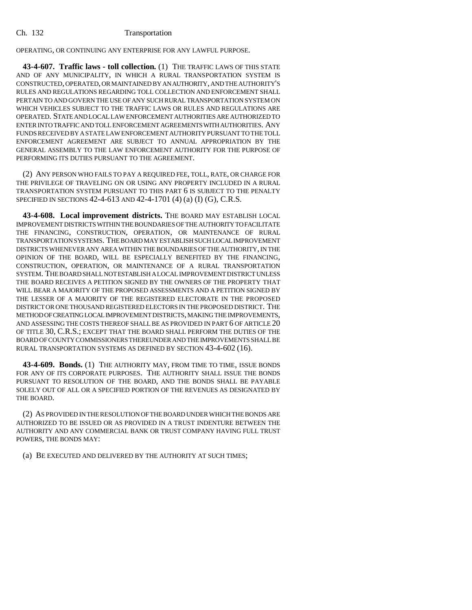OPERATING, OR CONTINUING ANY ENTERPRISE FOR ANY LAWFUL PURPOSE.

**43-4-607. Traffic laws - toll collection.** (1) THE TRAFFIC LAWS OF THIS STATE AND OF ANY MUNICIPALITY, IN WHICH A RURAL TRANSPORTATION SYSTEM IS CONSTRUCTED, OPERATED, OR MAINTAINED BY AN AUTHORITY, AND THE AUTHORITY'S RULES AND REGULATIONS REGARDING TOLL COLLECTION AND ENFORCEMENT SHALL PERTAIN TO AND GOVERN THE USE OF ANY SUCH RURAL TRANSPORTATION SYSTEM ON WHICH VEHICLES SUBJECT TO THE TRAFFIC LAWS OR RULES AND REGULATIONS ARE OPERATED. STATE AND LOCAL LAW ENFORCEMENT AUTHORITIES ARE AUTHORIZED TO ENTER INTO TRAFFIC AND TOLL ENFORCEMENT AGREEMENTS WITH AUTHORITIES. ANY FUNDS RECEIVED BY A STATE LAW ENFORCEMENT AUTHORITY PURSUANT TO THE TOLL ENFORCEMENT AGREEMENT ARE SUBJECT TO ANNUAL APPROPRIATION BY THE GENERAL ASSEMBLY TO THE LAW ENFORCEMENT AUTHORITY FOR THE PURPOSE OF PERFORMING ITS DUTIES PURSUANT TO THE AGREEMENT.

(2) ANY PERSON WHO FAILS TO PAY A REQUIRED FEE, TOLL, RATE, OR CHARGE FOR THE PRIVILEGE OF TRAVELING ON OR USING ANY PROPERTY INCLUDED IN A RURAL TRANSPORTATION SYSTEM PURSUANT TO THIS PART 6 IS SUBJECT TO THE PENALTY SPECIFIED IN SECTIONS 42-4-613 AND 42-4-1701 (4) (a) (I) (G), C.R.S.

**43-4-608. Local improvement districts.** THE BOARD MAY ESTABLISH LOCAL IMPROVEMENT DISTRICTS WITHIN THE BOUNDARIES OF THE AUTHORITY TO FACILITATE THE FINANCING, CONSTRUCTION, OPERATION, OR MAINTENANCE OF RURAL TRANSPORTATION SYSTEMS. THE BOARD MAY ESTABLISH SUCH LOCAL IMPROVEMENT DISTRICTS WHENEVER ANY AREA WITHIN THE BOUNDARIES OF THE AUTHORITY, IN THE OPINION OF THE BOARD, WILL BE ESPECIALLY BENEFITED BY THE FINANCING, CONSTRUCTION, OPERATION, OR MAINTENANCE OF A RURAL TRANSPORTATION SYSTEM. THE BOARD SHALL NOT ESTABLISH A LOCAL IMPROVEMENT DISTRICT UNLESS THE BOARD RECEIVES A PETITION SIGNED BY THE OWNERS OF THE PROPERTY THAT WILL BEAR A MAJORITY OF THE PROPOSED ASSESSMENTS AND A PETITION SIGNED BY THE LESSER OF A MAJORITY OF THE REGISTERED ELECTORATE IN THE PROPOSED DISTRICT OR ONE THOUSAND REGISTERED ELECTORS IN THE PROPOSED DISTRICT. THE METHOD OF CREATING LOCAL IMPROVEMENT DISTRICTS, MAKING THE IMPROVEMENTS, AND ASSESSING THE COSTS THEREOF SHALL BE AS PROVIDED IN PART 6 OF ARTICLE 20 OF TITLE 30, C.R.S.; EXCEPT THAT THE BOARD SHALL PERFORM THE DUTIES OF THE BOARD OF COUNTY COMMISSIONERS THEREUNDER AND THE IMPROVEMENTS SHALL BE RURAL TRANSPORTATION SYSTEMS AS DEFINED BY SECTION 43-4-602 (16).

**43-4-609. Bonds.** (1) THE AUTHORITY MAY, FROM TIME TO TIME, ISSUE BONDS FOR ANY OF ITS CORPORATE PURPOSES. THE AUTHORITY SHALL ISSUE THE BONDS PURSUANT TO RESOLUTION OF THE BOARD, AND THE BONDS SHALL BE PAYABLE SOLELY OUT OF ALL OR A SPECIFIED PORTION OF THE REVENUES AS DESIGNATED BY THE BOARD.

(2) AS PROVIDED IN THE RESOLUTION OF THE BOARD UNDER WHICH THE BONDS ARE AUTHORIZED TO BE ISSUED OR AS PROVIDED IN A TRUST INDENTURE BETWEEN THE AUTHORITY AND ANY COMMERCIAL BANK OR TRUST COMPANY HAVING FULL TRUST POWERS, THE BONDS MAY:

(a) BE EXECUTED AND DELIVERED BY THE AUTHORITY AT SUCH TIMES;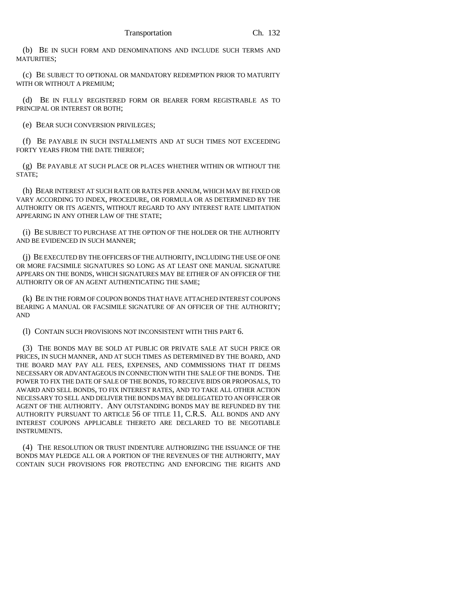(b) BE IN SUCH FORM AND DENOMINATIONS AND INCLUDE SUCH TERMS AND MATURITIES;

(c) BE SUBJECT TO OPTIONAL OR MANDATORY REDEMPTION PRIOR TO MATURITY WITH OR WITHOUT A PREMIUM;

(d) BE IN FULLY REGISTERED FORM OR BEARER FORM REGISTRABLE AS TO PRINCIPAL OR INTEREST OR BOTH;

(e) BEAR SUCH CONVERSION PRIVILEGES;

(f) BE PAYABLE IN SUCH INSTALLMENTS AND AT SUCH TIMES NOT EXCEEDING FORTY YEARS FROM THE DATE THEREOF;

(g) BE PAYABLE AT SUCH PLACE OR PLACES WHETHER WITHIN OR WITHOUT THE STATE;

(h) BEAR INTEREST AT SUCH RATE OR RATES PER ANNUM, WHICH MAY BE FIXED OR VARY ACCORDING TO INDEX, PROCEDURE, OR FORMULA OR AS DETERMINED BY THE AUTHORITY OR ITS AGENTS, WITHOUT REGARD TO ANY INTEREST RATE LIMITATION APPEARING IN ANY OTHER LAW OF THE STATE;

(i) BE SUBJECT TO PURCHASE AT THE OPTION OF THE HOLDER OR THE AUTHORITY AND BE EVIDENCED IN SUCH MANNER;

(j) BE EXECUTED BY THE OFFICERS OF THE AUTHORITY, INCLUDING THE USE OF ONE OR MORE FACSIMILE SIGNATURES SO LONG AS AT LEAST ONE MANUAL SIGNATURE APPEARS ON THE BONDS, WHICH SIGNATURES MAY BE EITHER OF AN OFFICER OF THE AUTHORITY OR OF AN AGENT AUTHENTICATING THE SAME;

(k) BE IN THE FORM OF COUPON BONDS THAT HAVE ATTACHED INTEREST COUPONS BEARING A MANUAL OR FACSIMILE SIGNATURE OF AN OFFICER OF THE AUTHORITY; AND

(l) CONTAIN SUCH PROVISIONS NOT INCONSISTENT WITH THIS PART 6.

(3) THE BONDS MAY BE SOLD AT PUBLIC OR PRIVATE SALE AT SUCH PRICE OR PRICES, IN SUCH MANNER, AND AT SUCH TIMES AS DETERMINED BY THE BOARD, AND THE BOARD MAY PAY ALL FEES, EXPENSES, AND COMMISSIONS THAT IT DEEMS NECESSARY OR ADVANTAGEOUS IN CONNECTION WITH THE SALE OF THE BONDS. THE POWER TO FIX THE DATE OF SALE OF THE BONDS, TO RECEIVE BIDS OR PROPOSALS, TO AWARD AND SELL BONDS, TO FIX INTEREST RATES, AND TO TAKE ALL OTHER ACTION NECESSARY TO SELL AND DELIVER THE BONDS MAY BE DELEGATED TO AN OFFICER OR AGENT OF THE AUTHORITY. ANY OUTSTANDING BONDS MAY BE REFUNDED BY THE AUTHORITY PURSUANT TO ARTICLE 56 OF TITLE 11, C.R.S. ALL BONDS AND ANY INTEREST COUPONS APPLICABLE THERETO ARE DECLARED TO BE NEGOTIABLE INSTRUMENTS.

(4) THE RESOLUTION OR TRUST INDENTURE AUTHORIZING THE ISSUANCE OF THE BONDS MAY PLEDGE ALL OR A PORTION OF THE REVENUES OF THE AUTHORITY, MAY CONTAIN SUCH PROVISIONS FOR PROTECTING AND ENFORCING THE RIGHTS AND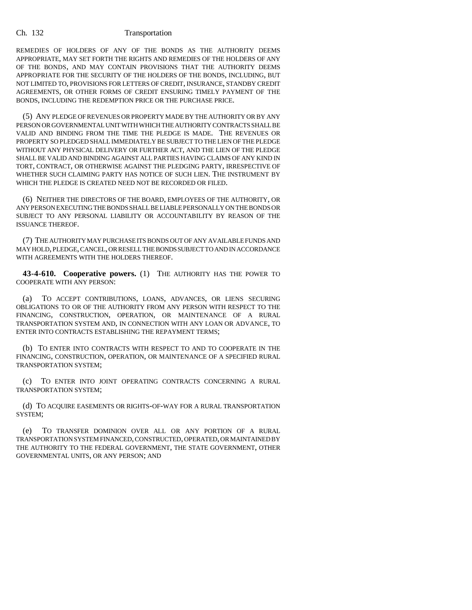REMEDIES OF HOLDERS OF ANY OF THE BONDS AS THE AUTHORITY DEEMS APPROPRIATE, MAY SET FORTH THE RIGHTS AND REMEDIES OF THE HOLDERS OF ANY OF THE BONDS, AND MAY CONTAIN PROVISIONS THAT THE AUTHORITY DEEMS APPROPRIATE FOR THE SECURITY OF THE HOLDERS OF THE BONDS, INCLUDING, BUT NOT LIMITED TO, PROVISIONS FOR LETTERS OF CREDIT, INSURANCE, STANDBY CREDIT AGREEMENTS, OR OTHER FORMS OF CREDIT ENSURING TIMELY PAYMENT OF THE BONDS, INCLUDING THE REDEMPTION PRICE OR THE PURCHASE PRICE.

(5) ANY PLEDGE OF REVENUES OR PROPERTY MADE BY THE AUTHORITY OR BY ANY PERSON OR GOVERNMENTAL UNIT WITH WHICH THE AUTHORITY CONTRACTS SHALL BE VALID AND BINDING FROM THE TIME THE PLEDGE IS MADE. THE REVENUES OR PROPERTY SO PLEDGED SHALL IMMEDIATELY BE SUBJECT TO THE LIEN OF THE PLEDGE WITHOUT ANY PHYSICAL DELIVERY OR FURTHER ACT, AND THE LIEN OF THE PLEDGE SHALL BE VALID AND BINDING AGAINST ALL PARTIES HAVING CLAIMS OF ANY KIND IN TORT, CONTRACT, OR OTHERWISE AGAINST THE PLEDGING PARTY, IRRESPECTIVE OF WHETHER SUCH CLAIMING PARTY HAS NOTICE OF SUCH LIEN. THE INSTRUMENT BY WHICH THE PLEDGE IS CREATED NEED NOT BE RECORDED OR FILED.

(6) NEITHER THE DIRECTORS OF THE BOARD, EMPLOYEES OF THE AUTHORITY, OR ANY PERSON EXECUTING THE BONDS SHALL BE LIABLE PERSONALLY ON THE BONDS OR SUBJECT TO ANY PERSONAL LIABILITY OR ACCOUNTABILITY BY REASON OF THE ISSUANCE THEREOF.

(7) THE AUTHORITY MAY PURCHASE ITS BONDS OUT OF ANY AVAILABLE FUNDS AND MAY HOLD, PLEDGE, CANCEL, OR RESELL THE BONDS SUBJECT TO AND IN ACCORDANCE WITH AGREEMENTS WITH THE HOLDERS THEREOF.

**43-4-610. Cooperative powers.** (1) THE AUTHORITY HAS THE POWER TO COOPERATE WITH ANY PERSON:

(a) TO ACCEPT CONTRIBUTIONS, LOANS, ADVANCES, OR LIENS SECURING OBLIGATIONS TO OR OF THE AUTHORITY FROM ANY PERSON WITH RESPECT TO THE FINANCING, CONSTRUCTION, OPERATION, OR MAINTENANCE OF A RURAL TRANSPORTATION SYSTEM AND, IN CONNECTION WITH ANY LOAN OR ADVANCE, TO ENTER INTO CONTRACTS ESTABLISHING THE REPAYMENT TERMS;

(b) TO ENTER INTO CONTRACTS WITH RESPECT TO AND TO COOPERATE IN THE FINANCING, CONSTRUCTION, OPERATION, OR MAINTENANCE OF A SPECIFIED RURAL TRANSPORTATION SYSTEM;

(c) TO ENTER INTO JOINT OPERATING CONTRACTS CONCERNING A RURAL TRANSPORTATION SYSTEM;

(d) TO ACQUIRE EASEMENTS OR RIGHTS-OF-WAY FOR A RURAL TRANSPORTATION SYSTEM;

(e) TO TRANSFER DOMINION OVER ALL OR ANY PORTION OF A RURAL TRANSPORTATION SYSTEM FINANCED, CONSTRUCTED, OPERATED, OR MAINTAINED BY THE AUTHORITY TO THE FEDERAL GOVERNMENT, THE STATE GOVERNMENT, OTHER GOVERNMENTAL UNITS, OR ANY PERSON; AND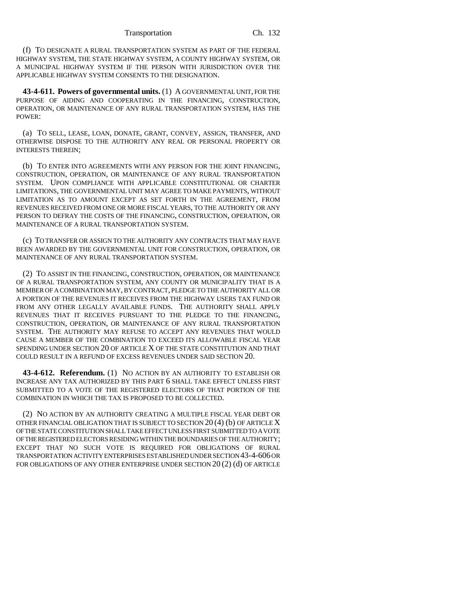(f) TO DESIGNATE A RURAL TRANSPORTATION SYSTEM AS PART OF THE FEDERAL HIGHWAY SYSTEM, THE STATE HIGHWAY SYSTEM, A COUNTY HIGHWAY SYSTEM, OR A MUNICIPAL HIGHWAY SYSTEM IF THE PERSON WITH JURISDICTION OVER THE APPLICABLE HIGHWAY SYSTEM CONSENTS TO THE DESIGNATION.

**43-4-611. Powers of governmental units.** (1) A GOVERNMENTAL UNIT, FOR THE PURPOSE OF AIDING AND COOPERATING IN THE FINANCING, CONSTRUCTION, OPERATION, OR MAINTENANCE OF ANY RURAL TRANSPORTATION SYSTEM, HAS THE POWER:

(a) TO SELL, LEASE, LOAN, DONATE, GRANT, CONVEY, ASSIGN, TRANSFER, AND OTHERWISE DISPOSE TO THE AUTHORITY ANY REAL OR PERSONAL PROPERTY OR INTERESTS THEREIN;

(b) TO ENTER INTO AGREEMENTS WITH ANY PERSON FOR THE JOINT FINANCING, CONSTRUCTION, OPERATION, OR MAINTENANCE OF ANY RURAL TRANSPORTATION SYSTEM. UPON COMPLIANCE WITH APPLICABLE CONSTITUTIONAL OR CHARTER LIMITATIONS, THE GOVERNMENTAL UNIT MAY AGREE TO MAKE PAYMENTS, WITHOUT LIMITATION AS TO AMOUNT EXCEPT AS SET FORTH IN THE AGREEMENT, FROM REVENUES RECEIVED FROM ONE OR MORE FISCAL YEARS, TO THE AUTHORITY OR ANY PERSON TO DEFRAY THE COSTS OF THE FINANCING, CONSTRUCTION, OPERATION, OR MAINTENANCE OF A RURAL TRANSPORTATION SYSTEM.

(c) TO TRANSFER OR ASSIGN TO THE AUTHORITY ANY CONTRACTS THAT MAY HAVE BEEN AWARDED BY THE GOVERNMENTAL UNIT FOR CONSTRUCTION, OPERATION, OR MAINTENANCE OF ANY RURAL TRANSPORTATION SYSTEM.

(2) TO ASSIST IN THE FINANCING, CONSTRUCTION, OPERATION, OR MAINTENANCE OF A RURAL TRANSPORTATION SYSTEM, ANY COUNTY OR MUNICIPALITY THAT IS A MEMBER OF A COMBINATION MAY, BY CONTRACT, PLEDGE TO THE AUTHORITY ALL OR A PORTION OF THE REVENUES IT RECEIVES FROM THE HIGHWAY USERS TAX FUND OR FROM ANY OTHER LEGALLY AVAILABLE FUNDS. THE AUTHORITY SHALL APPLY REVENUES THAT IT RECEIVES PURSUANT TO THE PLEDGE TO THE FINANCING, CONSTRUCTION, OPERATION, OR MAINTENANCE OF ANY RURAL TRANSPORTATION SYSTEM. THE AUTHORITY MAY REFUSE TO ACCEPT ANY REVENUES THAT WOULD CAUSE A MEMBER OF THE COMBINATION TO EXCEED ITS ALLOWABLE FISCAL YEAR SPENDING UNDER SECTION 20 OF ARTICLE X OF THE STATE CONSTITUTION AND THAT COULD RESULT IN A REFUND OF EXCESS REVENUES UNDER SAID SECTION 20.

**43-4-612. Referendum.** (1) NO ACTION BY AN AUTHORITY TO ESTABLISH OR INCREASE ANY TAX AUTHORIZED BY THIS PART 6 SHALL TAKE EFFECT UNLESS FIRST SUBMITTED TO A VOTE OF THE REGISTERED ELECTORS OF THAT PORTION OF THE COMBINATION IN WHICH THE TAX IS PROPOSED TO BE COLLECTED.

(2) NO ACTION BY AN AUTHORITY CREATING A MULTIPLE FISCAL YEAR DEBT OR OTHER FINANCIAL OBLIGATION THAT IS SUBJECT TO SECTION  $20(4)$  (b) OF ARTICLE X OF THE STATE CONSTITUTION SHALL TAKE EFFECT UNLESS FIRST SUBMITTED TO A VOTE OF THE REGISTERED ELECTORS RESIDING WITHIN THE BOUNDARIES OF THE AUTHORITY; EXCEPT THAT NO SUCH VOTE IS REQUIRED FOR OBLIGATIONS OF RURAL TRANSPORTATION ACTIVITY ENTERPRISES ESTABLISHED UNDER SECTION 43-4-606 OR FOR OBLIGATIONS OF ANY OTHER ENTERPRISE UNDER SECTION 20 (2) (d) OF ARTICLE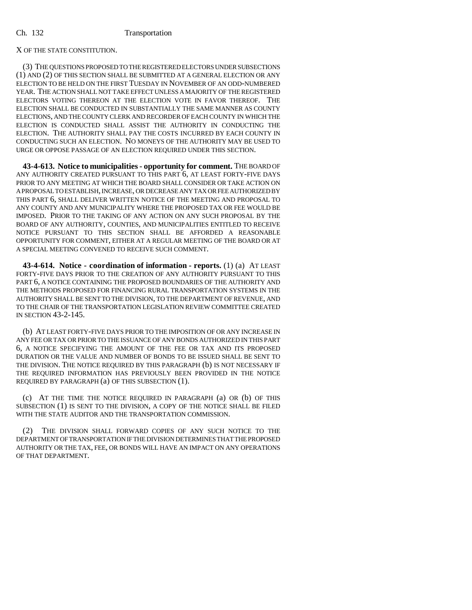# X OF THE STATE CONSTITUTION.

(3) THE QUESTIONS PROPOSED TO THE REGISTERED ELECTORS UNDER SUBSECTIONS (1) AND (2) OF THIS SECTION SHALL BE SUBMITTED AT A GENERAL ELECTION OR ANY ELECTION TO BE HELD ON THE FIRST TUESDAY IN NOVEMBER OF AN ODD-NUMBERED YEAR. THE ACTION SHALL NOT TAKE EFFECT UNLESS A MAJORITY OF THE REGISTERED ELECTORS VOTING THEREON AT THE ELECTION VOTE IN FAVOR THEREOF. THE ELECTION SHALL BE CONDUCTED IN SUBSTANTIALLY THE SAME MANNER AS COUNTY ELECTIONS, AND THE COUNTY CLERK AND RECORDER OF EACH COUNTY IN WHICH THE ELECTION IS CONDUCTED SHALL ASSIST THE AUTHORITY IN CONDUCTING THE ELECTION. THE AUTHORITY SHALL PAY THE COSTS INCURRED BY EACH COUNTY IN CONDUCTING SUCH AN ELECTION. NO MONEYS OF THE AUTHORITY MAY BE USED TO URGE OR OPPOSE PASSAGE OF AN ELECTION REQUIRED UNDER THIS SECTION.

**43-4-613. Notice to municipalities - opportunity for comment.** THE BOARD OF ANY AUTHORITY CREATED PURSUANT TO THIS PART 6, AT LEAST FORTY-FIVE DAYS PRIOR TO ANY MEETING AT WHICH THE BOARD SHALL CONSIDER OR TAKE ACTION ON A PROPOSAL TO ESTABLISH, INCREASE, OR DECREASE ANY TAX OR FEE AUTHORIZED BY THIS PART 6, SHALL DELIVER WRITTEN NOTICE OF THE MEETING AND PROPOSAL TO ANY COUNTY AND ANY MUNICIPALITY WHERE THE PROPOSED TAX OR FEE WOULD BE IMPOSED. PRIOR TO THE TAKING OF ANY ACTION ON ANY SUCH PROPOSAL BY THE BOARD OF ANY AUTHORITY, COUNTIES, AND MUNICIPALITIES ENTITLED TO RECEIVE NOTICE PURSUANT TO THIS SECTION SHALL BE AFFORDED A REASONABLE OPPORTUNITY FOR COMMENT, EITHER AT A REGULAR MEETING OF THE BOARD OR AT A SPECIAL MEETING CONVENED TO RECEIVE SUCH COMMENT.

**43-4-614. Notice - coordination of information - reports.** (1) (a) AT LEAST FORTY-FIVE DAYS PRIOR TO THE CREATION OF ANY AUTHORITY PURSUANT TO THIS PART 6, A NOTICE CONTAINING THE PROPOSED BOUNDARIES OF THE AUTHORITY AND THE METHODS PROPOSED FOR FINANCING RURAL TRANSPORTATION SYSTEMS IN THE AUTHORITY SHALL BE SENT TO THE DIVISION, TO THE DEPARTMENT OF REVENUE, AND TO THE CHAIR OF THE TRANSPORTATION LEGISLATION REVIEW COMMITTEE CREATED IN SECTION 43-2-145.

(b) AT LEAST FORTY-FIVE DAYS PRIOR TO THE IMPOSITION OF OR ANY INCREASE IN ANY FEE OR TAX OR PRIOR TO THE ISSUANCE OF ANY BONDS AUTHORIZED IN THIS PART 6, A NOTICE SPECIFYING THE AMOUNT OF THE FEE OR TAX AND ITS PROPOSED DURATION OR THE VALUE AND NUMBER OF BONDS TO BE ISSUED SHALL BE SENT TO THE DIVISION. THE NOTICE REQUIRED BY THIS PARAGRAPH (b) IS NOT NECESSARY IF THE REQUIRED INFORMATION HAS PREVIOUSLY BEEN PROVIDED IN THE NOTICE REQUIRED BY PARAGRAPH (a) OF THIS SUBSECTION (1).

(c) AT THE TIME THE NOTICE REQUIRED IN PARAGRAPH (a) OR (b) OF THIS SUBSECTION (1) IS SENT TO THE DIVISION, A COPY OF THE NOTICE SHALL BE FILED WITH THE STATE AUDITOR AND THE TRANSPORTATION COMMISSION.

(2) THE DIVISION SHALL FORWARD COPIES OF ANY SUCH NOTICE TO THE DEPARTMENT OF TRANSPORTATION IF THE DIVISION DETERMINES THAT THE PROPOSED AUTHORITY OR THE TAX, FEE, OR BONDS WILL HAVE AN IMPACT ON ANY OPERATIONS OF THAT DEPARTMENT.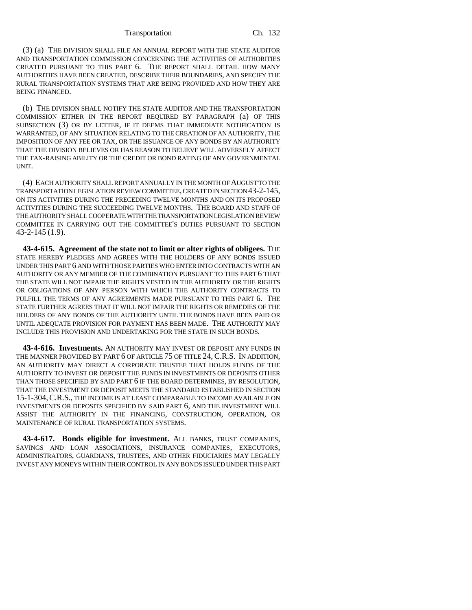(3) (a) THE DIVISION SHALL FILE AN ANNUAL REPORT WITH THE STATE AUDITOR AND TRANSPORTATION COMMISSION CONCERNING THE ACTIVITIES OF AUTHORITIES CREATED PURSUANT TO THIS PART 6. THE REPORT SHALL DETAIL HOW MANY AUTHORITIES HAVE BEEN CREATED, DESCRIBE THEIR BOUNDARIES, AND SPECIFY THE RURAL TRANSPORTATION SYSTEMS THAT ARE BEING PROVIDED AND HOW THEY ARE BEING FINANCED.

(b) THE DIVISION SHALL NOTIFY THE STATE AUDITOR AND THE TRANSPORTATION COMMISSION EITHER IN THE REPORT REQUIRED BY PARAGRAPH (a) OF THIS SUBSECTION (3) OR BY LETTER, IF IT DEEMS THAT IMMEDIATE NOTIFICATION IS WARRANTED, OF ANY SITUATION RELATING TO THE CREATION OF AN AUTHORITY, THE IMPOSITION OF ANY FEE OR TAX, OR THE ISSUANCE OF ANY BONDS BY AN AUTHORITY THAT THE DIVISION BELIEVES OR HAS REASON TO BELIEVE WILL ADVERSELY AFFECT THE TAX-RAISING ABILITY OR THE CREDIT OR BOND RATING OF ANY GOVERNMENTAL UNIT.

(4) EACH AUTHORITY SHALL REPORT ANNUALLY IN THE MONTH OF AUGUST TO THE TRANSPORTATION LEGISLATION REVIEW COMMITTEE, CREATED IN SECTION 43-2-145, ON ITS ACTIVITIES DURING THE PRECEDING TWELVE MONTHS AND ON ITS PROPOSED ACTIVITIES DURING THE SUCCEEDING TWELVE MONTHS. THE BOARD AND STAFF OF THE AUTHORITY SHALL COOPERATE WITH THE TRANSPORTATION LEGISLATION REVIEW COMMITTEE IN CARRYING OUT THE COMMITTEE'S DUTIES PURSUANT TO SECTION 43-2-145 (1.9).

**43-4-615. Agreement of the state not to limit or alter rights of obligees.** THE STATE HEREBY PLEDGES AND AGREES WITH THE HOLDERS OF ANY BONDS ISSUED UNDER THIS PART 6 AND WITH THOSE PARTIES WHO ENTER INTO CONTRACTS WITH AN AUTHORITY OR ANY MEMBER OF THE COMBINATION PURSUANT TO THIS PART 6 THAT THE STATE WILL NOT IMPAIR THE RIGHTS VESTED IN THE AUTHORITY OR THE RIGHTS OR OBLIGATIONS OF ANY PERSON WITH WHICH THE AUTHORITY CONTRACTS TO FULFILL THE TERMS OF ANY AGREEMENTS MADE PURSUANT TO THIS PART 6. THE STATE FURTHER AGREES THAT IT WILL NOT IMPAIR THE RIGHTS OR REMEDIES OF THE HOLDERS OF ANY BONDS OF THE AUTHORITY UNTIL THE BONDS HAVE BEEN PAID OR UNTIL ADEQUATE PROVISION FOR PAYMENT HAS BEEN MADE. THE AUTHORITY MAY INCLUDE THIS PROVISION AND UNDERTAKING FOR THE STATE IN SUCH BONDS.

**43-4-616. Investments.** AN AUTHORITY MAY INVEST OR DEPOSIT ANY FUNDS IN THE MANNER PROVIDED BY PART 6 OF ARTICLE 75 OF TITLE 24, C.R.S. IN ADDITION, AN AUTHORITY MAY DIRECT A CORPORATE TRUSTEE THAT HOLDS FUNDS OF THE AUTHORITY TO INVEST OR DEPOSIT THE FUNDS IN INVESTMENTS OR DEPOSITS OTHER THAN THOSE SPECIFIED BY SAID PART 6 IF THE BOARD DETERMINES, BY RESOLUTION, THAT THE INVESTMENT OR DEPOSIT MEETS THE STANDARD ESTABLISHED IN SECTION 15-1-304,C.R.S., THE INCOME IS AT LEAST COMPARABLE TO INCOME AVAILABLE ON INVESTMENTS OR DEPOSITS SPECIFIED BY SAID PART 6, AND THE INVESTMENT WILL ASSIST THE AUTHORITY IN THE FINANCING, CONSTRUCTION, OPERATION, OR MAINTENANCE OF RURAL TRANSPORTATION SYSTEMS.

**43-4-617. Bonds eligible for investment.** ALL BANKS, TRUST COMPANIES, SAVINGS AND LOAN ASSOCIATIONS, INSURANCE COMPANIES, EXECUTORS, ADMINISTRATORS, GUARDIANS, TRUSTEES, AND OTHER FIDUCIARIES MAY LEGALLY INVEST ANY MONEYS WITHIN THEIR CONTROL IN ANY BONDS ISSUED UNDER THIS PART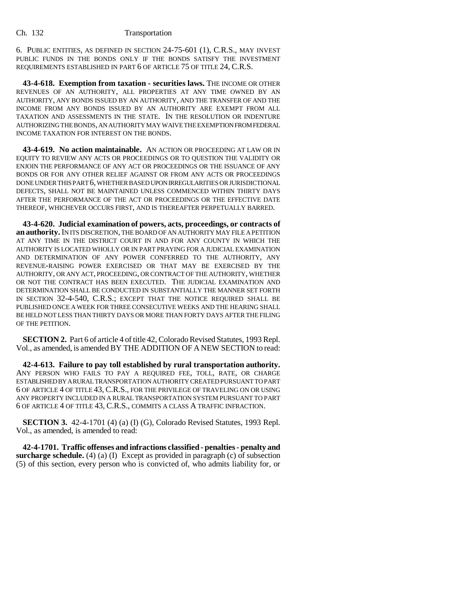6. PUBLIC ENTITIES, AS DEFINED IN SECTION 24-75-601 (1), C.R.S., MAY INVEST PUBLIC FUNDS IN THE BONDS ONLY IF THE BONDS SATISFY THE INVESTMENT REQUIREMENTS ESTABLISHED IN PART 6 OF ARTICLE 75 OF TITLE 24, C.R.S.

**43-4-618. Exemption from taxation - securities laws.** THE INCOME OR OTHER REVENUES OF AN AUTHORITY, ALL PROPERTIES AT ANY TIME OWNED BY AN AUTHORITY, ANY BONDS ISSUED BY AN AUTHORITY, AND THE TRANSFER OF AND THE INCOME FROM ANY BONDS ISSUED BY AN AUTHORITY ARE EXEMPT FROM ALL TAXATION AND ASSESSMENTS IN THE STATE. IN THE RESOLUTION OR INDENTURE AUTHORIZING THE BONDS, AN AUTHORITY MAY WAIVE THE EXEMPTION FROM FEDERAL INCOME TAXATION FOR INTEREST ON THE BONDS.

**43-4-619. No action maintainable.** AN ACTION OR PROCEEDING AT LAW OR IN EQUITY TO REVIEW ANY ACTS OR PROCEEDINGS OR TO QUESTION THE VALIDITY OR ENJOIN THE PERFORMANCE OF ANY ACT OR PROCEEDINGS OR THE ISSUANCE OF ANY BONDS OR FOR ANY OTHER RELIEF AGAINST OR FROM ANY ACTS OR PROCEEDINGS DONE UNDER THIS PART 6, WHETHER BASED UPON IRREGULARITIES OR JURISDICTIONAL DEFECTS, SHALL NOT BE MAINTAINED UNLESS COMMENCED WITHIN THIRTY DAYS AFTER THE PERFORMANCE OF THE ACT OR PROCEEDINGS OR THE EFFECTIVE DATE THEREOF, WHICHEVER OCCURS FIRST, AND IS THEREAFTER PERPETUALLY BARRED.

**43-4-620. Judicial examination of powers, acts, proceedings, or contracts of an authority.** IN ITS DISCRETION, THE BOARD OF AN AUTHORITY MAY FILE A PETITION AT ANY TIME IN THE DISTRICT COURT IN AND FOR ANY COUNTY IN WHICH THE AUTHORITY IS LOCATED WHOLLY OR IN PART PRAYING FOR A JUDICIAL EXAMINATION AND DETERMINATION OF ANY POWER CONFERRED TO THE AUTHORITY, ANY REVENUE-RAISING POWER EXERCISED OR THAT MAY BE EXERCISED BY THE AUTHORITY, OR ANY ACT, PROCEEDING, OR CONTRACT OF THE AUTHORITY, WHETHER OR NOT THE CONTRACT HAS BEEN EXECUTED. THE JUDICIAL EXAMINATION AND DETERMINATION SHALL BE CONDUCTED IN SUBSTANTIALLY THE MANNER SET FORTH IN SECTION 32-4-540, C.R.S.; EXCEPT THAT THE NOTICE REQUIRED SHALL BE PUBLISHED ONCE A WEEK FOR THREE CONSECUTIVE WEEKS AND THE HEARING SHALL BE HELD NOT LESS THAN THIRTY DAYS OR MORE THAN FORTY DAYS AFTER THE FILING OF THE PETITION.

**SECTION 2.** Part 6 of article 4 of title 42, Colorado Revised Statutes, 1993 Repl. Vol., as amended, is amended BY THE ADDITION OF A NEW SECTION to read:

**42-4-613. Failure to pay toll established by rural transportation authority.** ANY PERSON WHO FAILS TO PAY A REQUIRED FEE, TOLL, RATE, OR CHARGE ESTABLISHED BY A RURAL TRANSPORTATION AUTHORITY CREATED PURSUANT TO PART 6 OF ARTICLE 4 OF TITLE 43, C.R.S., FOR THE PRIVILEGE OF TRAVELING ON OR USING ANY PROPERTY INCLUDED IN A RURAL TRANSPORTATION SYSTEM PURSUANT TO PART 6 OF ARTICLE 4 OF TITLE 43, C.R.S., COMMITS A CLASS A TRAFFIC INFRACTION.

**SECTION 3.** 42-4-1701 (4) (a) (I) (G), Colorado Revised Statutes, 1993 Repl. Vol., as amended, is amended to read:

**42-4-1701. Traffic offenses and infractions classified - penalties - penalty and surcharge schedule.** (4) (a) (I) Except as provided in paragraph (c) of subsection (5) of this section, every person who is convicted of, who admits liability for, or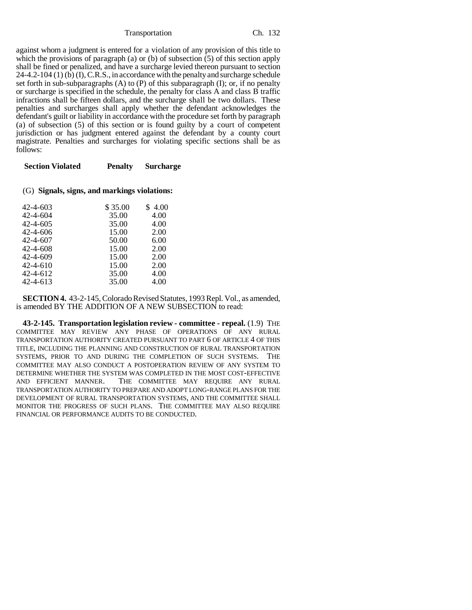against whom a judgment is entered for a violation of any provision of this title to which the provisions of paragraph (a) or (b) of subsection (5) of this section apply shall be fined or penalized, and have a surcharge levied thereon pursuant to section  $24-4.2-104$  (1) (b) (I), C.R.S., in accordance with the penalty and surcharge schedule set forth in sub-subparagraphs  $(A)$  to  $(P)$  of this subparagraph  $(I)$ ; or, if no penalty or surcharge is specified in the schedule, the penalty for class A and class B traffic infractions shall be fifteen dollars, and the surcharge shall be two dollars. These penalties and surcharges shall apply whether the defendant acknowledges the defendant's guilt or liability in accordance with the procedure set forth by paragraph (a) of subsection (5) of this section or is found guilty by a court of competent jurisdiction or has judgment entered against the defendant by a county court magistrate. Penalties and surcharges for violating specific sections shall be as follows:

| <b>Section Violated</b> | <b>Penalty</b> | <b>Surcharge</b> |
|-------------------------|----------------|------------------|
|                         |                |                  |

## (G) **Signals, signs, and markings violations:**

| 42-4-603       | \$35.00 | \$4.00 |
|----------------|---------|--------|
| 42-4-604       | 35.00   | 4.00   |
| $42 - 4 - 605$ | 35.00   | 4.00   |
| 42-4-606       | 15.00   | 2.00   |
| 42-4-607       | 50.00   | 6.00   |
| 42-4-608       | 15.00   | 2.00   |
| 42-4-609       | 15.00   | 2.00   |
| 42-4-610       | 15.00   | 2.00   |
| 42-4-612       | 35.00   | 4.00   |
| 42-4-613       | 35.00   | 4.00   |
|                |         |        |

**SECTION 4.** 43-2-145, Colorado Revised Statutes, 1993 Repl. Vol., as amended, is amended BY THE ADDITION OF A NEW SUBSECTION to read:

**43-2-145. Transportation legislation review - committee - repeal.** (1.9) THE COMMITTEE MAY REVIEW ANY PHASE OF OPERATIONS OF ANY RURAL TRANSPORTATION AUTHORITY CREATED PURSUANT TO PART 6 OF ARTICLE 4 OF THIS TITLE, INCLUDING THE PLANNING AND CONSTRUCTION OF RURAL TRANSPORTATION SYSTEMS, PRIOR TO AND DURING THE COMPLETION OF SUCH SYSTEMS. THE COMMITTEE MAY ALSO CONDUCT A POSTOPERATION REVIEW OF ANY SYSTEM TO DETERMINE WHETHER THE SYSTEM WAS COMPLETED IN THE MOST COST-EFFECTIVE AND EFFICIENT MANNER. THE COMMITTEE MAY REOUIRE ANY RURAL THE COMMITTEE MAY REQUIRE ANY RURAL TRANSPORTATION AUTHORITY TO PREPARE AND ADOPT LONG-RANGE PLANS FOR THE DEVELOPMENT OF RURAL TRANSPORTATION SYSTEMS, AND THE COMMITTEE SHALL MONITOR THE PROGRESS OF SUCH PLANS. THE COMMITTEE MAY ALSO REQUIRE FINANCIAL OR PERFORMANCE AUDITS TO BE CONDUCTED.